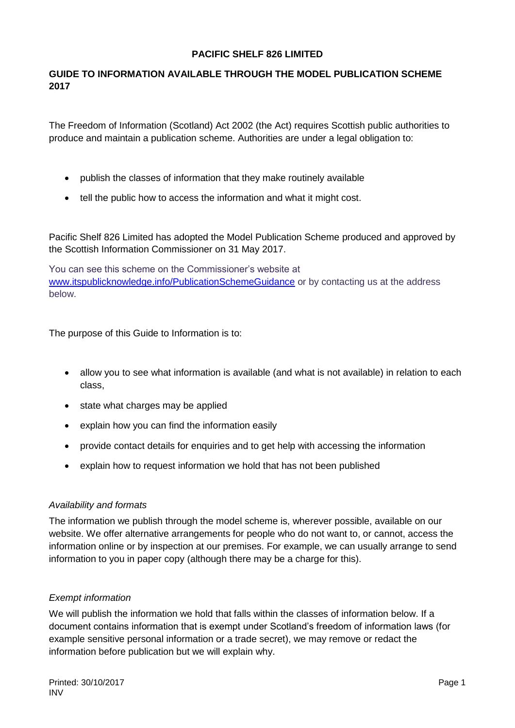#### **PACIFIC SHELF 826 LIMITED**

### **GUIDE TO INFORMATION AVAILABLE THROUGH THE MODEL PUBLICATION SCHEME 2017**

The Freedom of Information (Scotland) Act 2002 (the Act) requires Scottish public authorities to produce and maintain a publication scheme. Authorities are under a legal obligation to:

- publish the classes of information that they make routinely available
- tell the public how to access the information and what it might cost.

Pacific Shelf 826 Limited has adopted the Model Publication Scheme produced and approved by the Scottish Information Commissioner on 31 May 2017.

You can see this scheme on the Commissioner's website at [www.itspublicknowledge.info/PublicationSchemeGuidance](http://www.itspublicknowledge.info/PublicationSchemeGuidance) or by contacting us at the address below.

The purpose of this Guide to Information is to:

- allow you to see what information is available (and what is not available) in relation to each class,
- state what charges may be applied
- explain how you can find the information easily
- provide contact details for enquiries and to get help with accessing the information
- explain how to request information we hold that has not been published

#### *Availability and formats*

The information we publish through the model scheme is, wherever possible, available on our website. We offer alternative arrangements for people who do not want to, or cannot, access the information online or by inspection at our premises. For example, we can usually arrange to send information to you in paper copy (although there may be a charge for this).

#### *Exempt information*

We will publish the information we hold that falls within the classes of information below. If a document contains information that is exempt under Scotland's freedom of information laws (for example sensitive personal information or a trade secret), we may remove or redact the information before publication but we will explain why.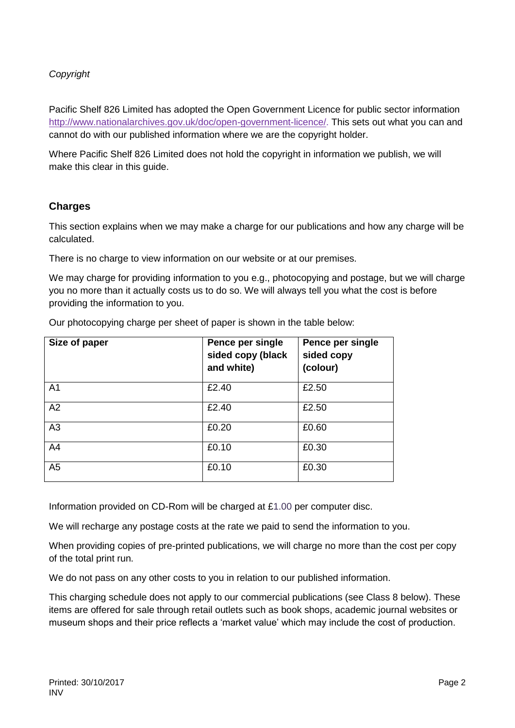### *Copyright*

Pacific Shelf 826 Limited has adopted the Open Government Licence for public sector information [http://www.nationalarchives.gov.uk/doc/open-government-licence/.](http://www.nationalarchives.gov.uk/doc/open-government-licence/) This sets out what you can and cannot do with our published information where we are the copyright holder.

Where Pacific Shelf 826 Limited does not hold the copyright in information we publish, we will make this clear in this guide.

### **Charges**

This section explains when we may make a charge for our publications and how any charge will be calculated.

There is no charge to view information on our website or at our premises.

We may charge for providing information to you e.g., photocopying and postage, but we will charge you no more than it actually costs us to do so. We will always tell you what the cost is before providing the information to you.

| Size of paper  | Pence per single<br>sided copy (black<br>and white) | Pence per single<br>sided copy<br>(colour) |
|----------------|-----------------------------------------------------|--------------------------------------------|
| A1             | £2.40                                               | £2.50                                      |
| A2             | £2.40                                               | £2.50                                      |
| A3             | £0.20                                               | £0.60                                      |
| A4             | £0.10                                               | £0.30                                      |
| A <sub>5</sub> | £0.10                                               | £0.30                                      |

Our photocopying charge per sheet of paper is shown in the table below:

Information provided on CD-Rom will be charged at £1.00 per computer disc.

We will recharge any postage costs at the rate we paid to send the information to you.

When providing copies of pre-printed publications, we will charge no more than the cost per copy of the total print run.

We do not pass on any other costs to you in relation to our published information.

This charging schedule does not apply to our commercial publications (see Class 8 below). These items are offered for sale through retail outlets such as book shops, academic journal websites or museum shops and their price reflects a 'market value' which may include the cost of production.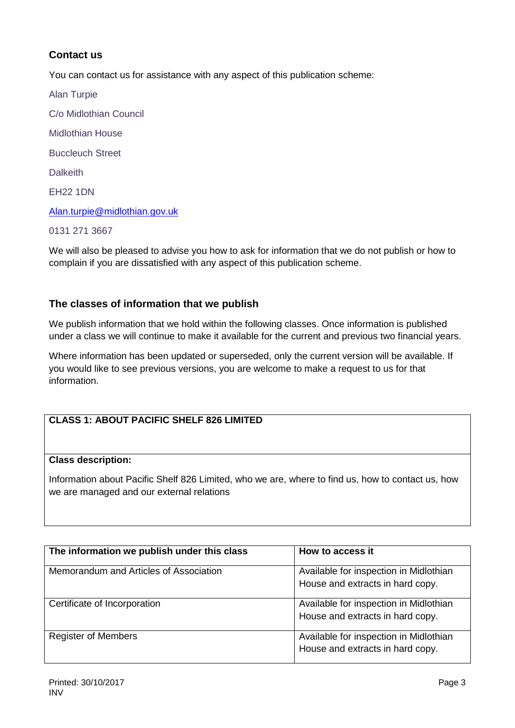# **Contact us**

You can contact us for assistance with any aspect of this publication scheme:

Alan Turpie C/o Midlothian Council Midlothian House Buccleuch Street **Dalkeith** EH22 1DN [Alan.turpie@midlothian.gov.uk](mailto:Alan.turpie@midlothian.gov.uk) 0131 271 3667

We will also be pleased to advise you how to ask for information that we do not publish or how to complain if you are dissatisfied with any aspect of this publication scheme.

#### **The classes of information that we publish**

We publish information that we hold within the following classes. Once information is published under a class we will continue to make it available for the current and previous two financial years.

Where information has been updated or superseded, only the current version will be available. If you would like to see previous versions, you are welcome to make a request to us for that information.

# **CLASS 1: ABOUT PACIFIC SHELF 826 LIMITED**

#### **Class description:**

Information about Pacific Shelf 826 Limited, who we are, where to find us, how to contact us, how we are managed and our external relations

| The information we publish under this class | How to access it                                                           |
|---------------------------------------------|----------------------------------------------------------------------------|
| Memorandum and Articles of Association      | Available for inspection in Midlothian<br>House and extracts in hard copy. |
| Certificate of Incorporation                | Available for inspection in Midlothian<br>House and extracts in hard copy. |
| <b>Register of Members</b>                  | Available for inspection in Midlothian<br>House and extracts in hard copy. |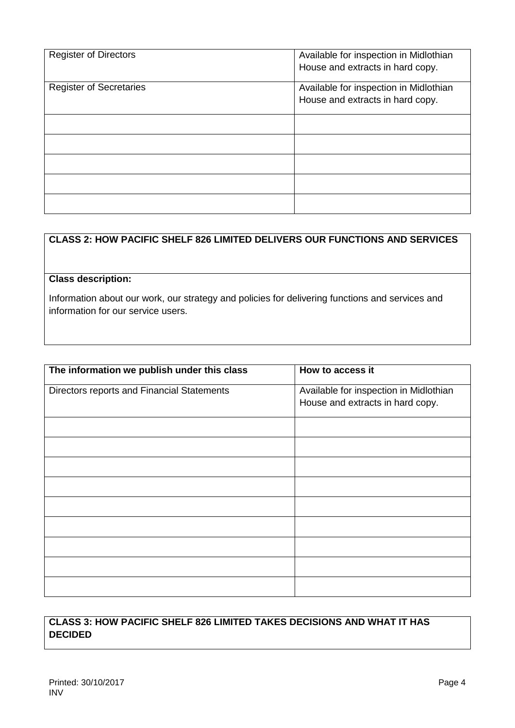| <b>Register of Directors</b>   | Available for inspection in Midlothian<br>House and extracts in hard copy. |
|--------------------------------|----------------------------------------------------------------------------|
| <b>Register of Secretaries</b> | Available for inspection in Midlothian<br>House and extracts in hard copy. |
|                                |                                                                            |
|                                |                                                                            |
|                                |                                                                            |
|                                |                                                                            |
|                                |                                                                            |

# **CLASS 2: HOW PACIFIC SHELF 826 LIMITED DELIVERS OUR FUNCTIONS AND SERVICES**

#### **Class description:**

Information about our work, our strategy and policies for delivering functions and services and information for our service users.

| The information we publish under this class | How to access it                                                           |
|---------------------------------------------|----------------------------------------------------------------------------|
| Directors reports and Financial Statements  | Available for inspection in Midlothian<br>House and extracts in hard copy. |
|                                             |                                                                            |
|                                             |                                                                            |
|                                             |                                                                            |
|                                             |                                                                            |
|                                             |                                                                            |
|                                             |                                                                            |
|                                             |                                                                            |
|                                             |                                                                            |
|                                             |                                                                            |

# **CLASS 3: HOW PACIFIC SHELF 826 LIMITED TAKES DECISIONS AND WHAT IT HAS DECIDED**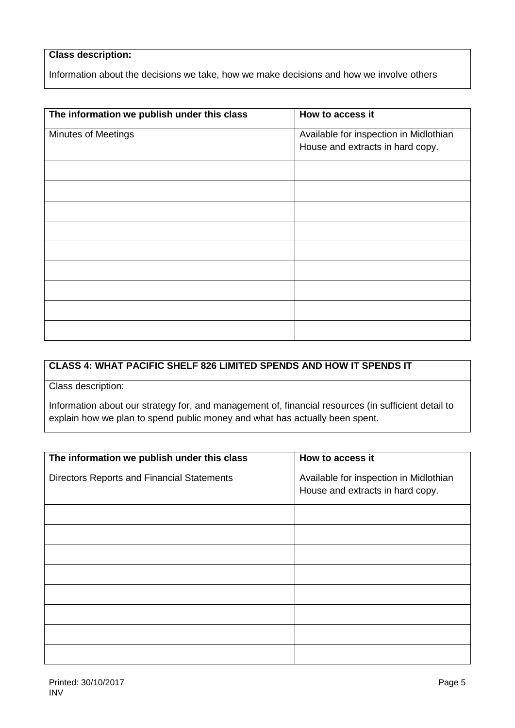# **Class description:**

Information about the decisions we take, how we make decisions and how we involve others

| The information we publish under this class | How to access it                                                           |
|---------------------------------------------|----------------------------------------------------------------------------|
| <b>Minutes of Meetings</b>                  | Available for inspection in Midlothian<br>House and extracts in hard copy. |
|                                             |                                                                            |
|                                             |                                                                            |
|                                             |                                                                            |
|                                             |                                                                            |
|                                             |                                                                            |
|                                             |                                                                            |
|                                             |                                                                            |
|                                             |                                                                            |
|                                             |                                                                            |

# **CLASS 4: WHAT PACIFIC SHELF 826 LIMITED SPENDS AND HOW IT SPENDS IT**

Class description:

Information about our strategy for, and management of, financial resources (in sufficient detail to explain how we plan to spend public money and what has actually been spent.

| The information we publish under this class       | How to access it                       |
|---------------------------------------------------|----------------------------------------|
|                                                   |                                        |
| <b>Directors Reports and Financial Statements</b> | Available for inspection in Midlothian |
|                                                   | House and extracts in hard copy.       |
|                                                   |                                        |
|                                                   |                                        |
|                                                   |                                        |
|                                                   |                                        |
|                                                   |                                        |
|                                                   |                                        |
|                                                   |                                        |
|                                                   |                                        |
|                                                   |                                        |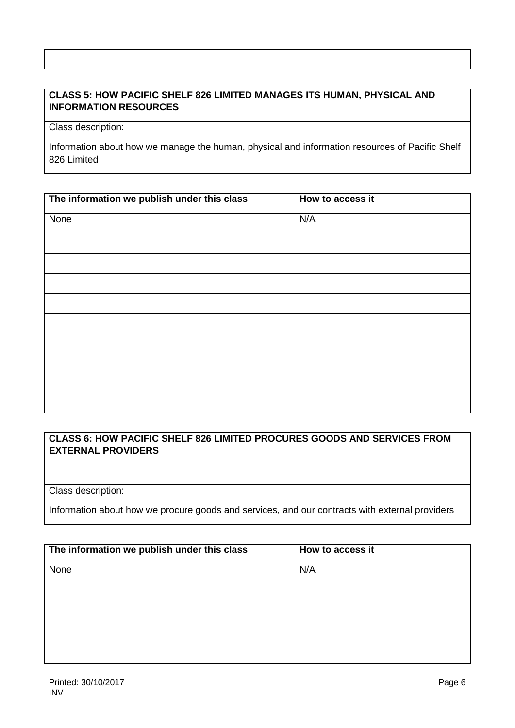### **CLASS 5: HOW PACIFIC SHELF 826 LIMITED MANAGES ITS HUMAN, PHYSICAL AND INFORMATION RESOURCES**

Class description:

Information about how we manage the human, physical and information resources of Pacific Shelf 826 Limited

| The information we publish under this class | How to access it |
|---------------------------------------------|------------------|
| None                                        | N/A              |
|                                             |                  |
|                                             |                  |
|                                             |                  |
|                                             |                  |
|                                             |                  |
|                                             |                  |
|                                             |                  |
|                                             |                  |
|                                             |                  |

### **CLASS 6: HOW PACIFIC SHELF 826 LIMITED PROCURES GOODS AND SERVICES FROM EXTERNAL PROVIDERS**

Class description:

Information about how we procure goods and services, and our contracts with external providers

| The information we publish under this class | How to access it |  |
|---------------------------------------------|------------------|--|
| None                                        | N/A              |  |
|                                             |                  |  |
|                                             |                  |  |
|                                             |                  |  |
|                                             |                  |  |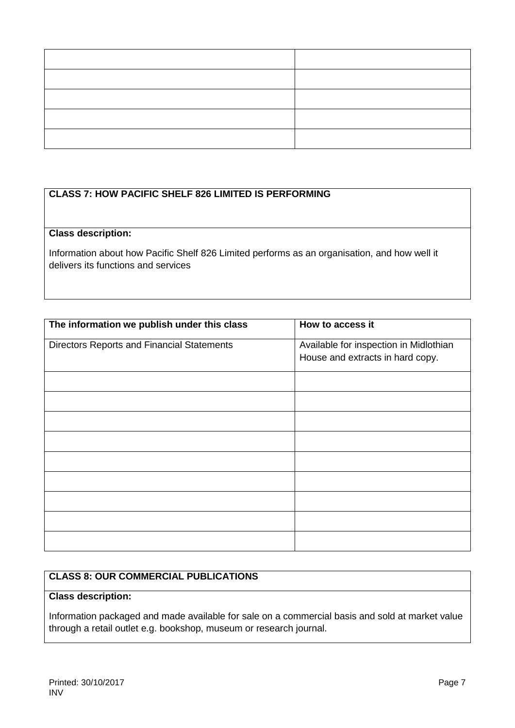# **CLASS 7: HOW PACIFIC SHELF 826 LIMITED IS PERFORMING**

# **Class description:**

Information about how Pacific Shelf 826 Limited performs as an organisation, and how well it delivers its functions and services

| The information we publish under this class | How to access it                       |
|---------------------------------------------|----------------------------------------|
| Directors Reports and Financial Statements  | Available for inspection in Midlothian |
|                                             | House and extracts in hard copy.       |
|                                             |                                        |
|                                             |                                        |
|                                             |                                        |
|                                             |                                        |
|                                             |                                        |
|                                             |                                        |
|                                             |                                        |
|                                             |                                        |
|                                             |                                        |

#### **CLASS 8: OUR COMMERCIAL PUBLICATIONS**

# **Class description:**

Information packaged and made available for sale on a commercial basis and sold at market value through a retail outlet e.g. bookshop, museum or research journal.